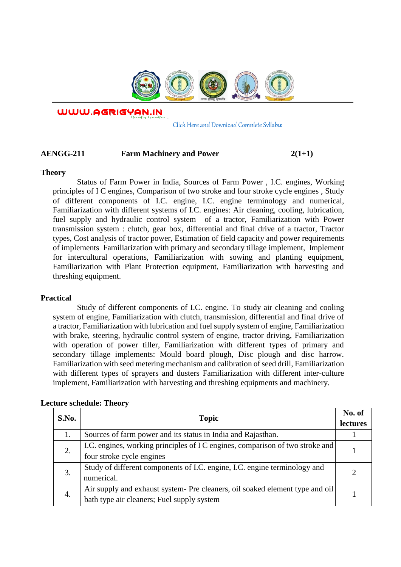

WWW.AGRIGYAN.IN

[Click Here and Download Complete Syllabus](http://agrigyan.in/)

## AENGG-211 Farm Machinery and Power 2(1+1)

#### **Theory**

 $\overline{a}$ 

Status of Farm Power in India, Sources of Farm Power , I.C. engines, Working principles of I C engines, Comparison of two stroke and four stroke cycle engines , Study of different components of I.C. engine, I.C. engine terminology and numerical, Familiarization with different systems of I.C. engines: Air cleaning, cooling, lubrication, fuel supply and hydraulic control system of a tractor, Familiarization with Power transmission system : clutch, gear box, differential and final drive of a tractor, Tractor types, Cost analysis of tractor power, Estimation of field capacity and power requirements of implements Familiarization with primary and secondary tillage implement, Implement for intercultural operations, Familiarization with sowing and planting equipment, Familiarization with Plant Protection equipment, Familiarization with harvesting and threshing equipment.

### **Practical**

Study of different components of I.C. engine. To study air cleaning and cooling system of engine, Familiarization with clutch, transmission, differential and final drive of a tractor, Familiarization with lubrication and fuel supply system of engine, Familiarization with brake, steering, hydraulic control system of engine, tractor driving, Familiarization with operation of power tiller, Familiarization with different types of primary and secondary tillage implements: Mould board plough, Disc plough and disc harrow. Familiarization with seed metering mechanism and calibration of seed drill, Familiarization with different types of sprayers and dusters Familiarization with different inter-culture implement, Familiarization with harvesting and threshing equipments and machinery.

|  | S.No. | <b>Topic</b>                                                                  | No. of          |
|--|-------|-------------------------------------------------------------------------------|-----------------|
|  |       |                                                                               | <b>lectures</b> |
|  |       | Sources of farm power and its status in India and Rajasthan.                  |                 |
|  | 2.    | I.C. engines, working principles of I C engines, comparison of two stroke and |                 |
|  |       | four stroke cycle engines                                                     |                 |
|  | 3.    | Study of different components of I.C. engine, I.C. engine terminology and     |                 |
|  |       | numerical.                                                                    |                 |
|  | 4.    | Air supply and exhaust system- Pre cleaners, oil soaked element type and oil  |                 |
|  |       | bath type air cleaners; Fuel supply system                                    |                 |

### **Lecture schedule: Theory**